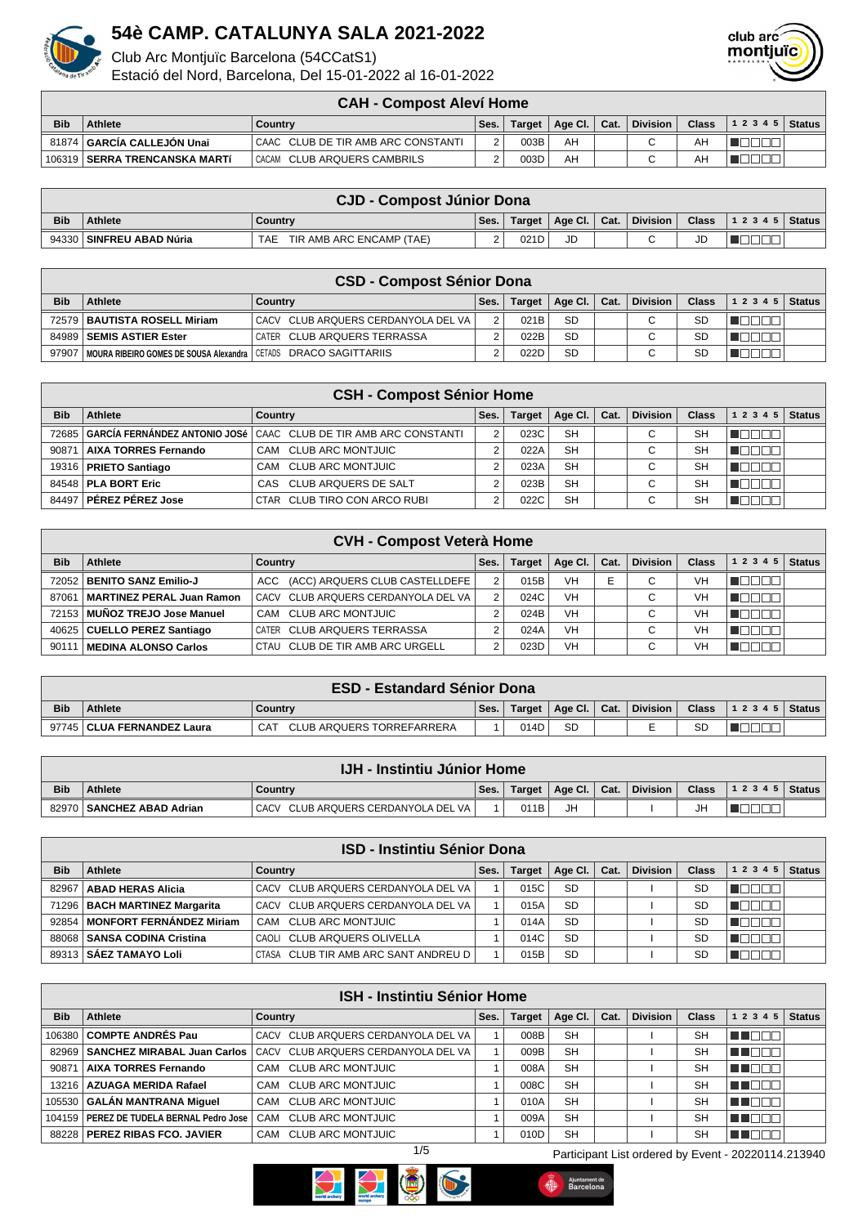

Club Arc Montjuïc Barcelona (54CCatS1)

Estació del Nord, Barcelona, Del 15-01-2022 al 16-01-2022



|            | <b>CAH - Compost Aleví Home</b> |                                      |      |        |                |  |                 |       |                          |  |  |
|------------|---------------------------------|--------------------------------------|------|--------|----------------|--|-----------------|-------|--------------------------|--|--|
| <b>Bib</b> | <b>Athlete</b>                  | Country                              | Ses. | Target | Age Cl.   Cat. |  | <b>Division</b> | Class | $ 1\;2\;3\;4\;5 $ Status |  |  |
|            | 81874   GARCIA CALLEJON Unai    | I CAAC CLUB DE TIR AMB ARC CONSTANTI |      | 003B   | AH             |  |                 | AH    |                          |  |  |
|            | 106319   SERRA TRENCANSKA MARTÍ | CACAM CLUB ARQUERS CAMBRILS          |      | 003D   | AH             |  |                 | AH    |                          |  |  |

|            | <b>CJD - Compost Júnior Dona</b> |                                 |      |        |                            |  |          |    |  |  |  |
|------------|----------------------------------|---------------------------------|------|--------|----------------------------|--|----------|----|--|--|--|
| <b>Bib</b> | <b>Athlete</b>                   | Country                         | Ses. | Target | $\mid$ Age Cl. $\mid$ Cat. |  | Division |    |  |  |  |
|            | 94330 SINFREU ABAD Núria         | TIR AMB ARC ENCAMP (TAE)<br>TAE |      | 021D   | JD                         |  |          | JD |  |  |  |

|            | <b>CSD - Compost Sénior Dona</b>                                    |                                       |      |        |                      |  |                 |              |       |        |  |  |
|------------|---------------------------------------------------------------------|---------------------------------------|------|--------|----------------------|--|-----------------|--------------|-------|--------|--|--|
| <b>Bib</b> | Athlete                                                             | Country                               | Ses. | Target | Age Cl. $\vert$ Cat. |  | <b>Division</b> | <b>Class</b> | 12345 | Status |  |  |
|            | 72579   BAUTISTA ROSELL Miriam                                      | CACV CLUB ARQUERS CERDANYOLA DEL VA I |      | 021B   | <b>SD</b>            |  | С               | SD           |       |        |  |  |
|            | 84989   SEMIS ASTIER Ester                                          | CATER CLUB ARQUERS TERRASSA           |      | 022B   | <b>SD</b>            |  | $\sim$          | <b>SD</b>    |       |        |  |  |
| 97907      | I MOURA RIBEIRO GOMES DE SOUSA Alexandra I CETADS DRACO SAGITTARIIS |                                       |      | 022D   | <b>SD</b>            |  | $\sim$          | SС           |       |        |  |  |

|            | <b>CSH - Compost Sénior Home</b> |                                                                                |      |               |           |      |                 |              |           |               |  |  |
|------------|----------------------------------|--------------------------------------------------------------------------------|------|---------------|-----------|------|-----------------|--------------|-----------|---------------|--|--|
| <b>Bib</b> | Athlete                          | Country                                                                        | Ses. | <b>Target</b> | Age Cl.   | Cat. | <b>Division</b> | <b>Class</b> | 1 2 3 4 5 | <b>Status</b> |  |  |
| 72685      |                                  | <b>∣GARCÍA FERNÁNDEZ ANTONIO JOSé │</b> CAAC   CLUB DE TIR AMB ARC CONSTANTI I |      | 023C          | <b>SH</b> |      | $\sim$<br>◡     | SH           |           |               |  |  |
| 9087       | AIXA TORRES Fernando             | CAM CLUB ARC MONTJUIC                                                          |      | 022A          | <b>SH</b> |      | ⌒<br>◡          | SH           |           |               |  |  |
|            | 19316   PRIETO Santiago          | CAM CLUB ARC MONTJUIC                                                          |      | 023A          | <b>SH</b> |      | $\sim$<br>◡     | SH           |           |               |  |  |
|            | 84548   PLA BORT Eric            | CAS CLUB ARQUERS DE SALT                                                       |      | 023B          | <b>SH</b> |      | $\sim$<br>◡     | SH           |           |               |  |  |
| 84497      | <b>PÉREZ PÉREZ Jose</b>          | CTAR CLUB TIRO CON ARCO RUBI                                                   |      | 022C          | <b>SH</b> |      | $\sim$<br>◡     | SH           |           |               |  |  |

| <b>CVH - Compost Veterà Home</b> |                                  |                                     |      |               |           |      |                               |              |                        |  |
|----------------------------------|----------------------------------|-------------------------------------|------|---------------|-----------|------|-------------------------------|--------------|------------------------|--|
| <b>Bib</b>                       | Athlete                          | Country                             | Ses. | <b>Target</b> | Age CI.   | Cat. | <b>Division</b>               | <b>Class</b> | $1\ 2\ 3\ 4\ 5$ Status |  |
| 72052                            | <b>BENITO SANZ Emilio-J</b>      | ACC (ACC) ARQUERS CLUB CASTELLDEFE  |      | 015B          | <b>VH</b> | E    | $\sim$<br>U                   | <b>VH</b>    | $\mathbf{H}$           |  |
| 87061                            | <b>MARTINEZ PERAL Juan Ramon</b> | CACV CLUB ARQUERS CERDANYOLA DEL VA |      | 024C          | VH        |      | ⌒<br>U                        | VH           | TOT                    |  |
|                                  | 72153 MUÑOZ TREJO Jose Manuel    | CAM CLUB ARC MONTJUIC               |      | 024B          | VH        |      | $\sim$                        | VH           |                        |  |
| 40625                            | CUELLO PEREZ Santiago            | CATER CLUB ARQUERS TERRASSA         |      | 024A          | VH        |      | $\overline{\phantom{0}}$      | VH           |                        |  |
| 90111                            | <b>MEDINA ALONSO Carlos</b>      | CTAU CLUB DE TIR AMB ARC URGELL     |      | 023D          | VH        |      | $\overline{\phantom{0}}$<br>U | VH           |                        |  |

|            | <b>ESD - Estandard Sénior Dona</b> |                                  |      |        |              |  |          |           |                |  |  |
|------------|------------------------------------|----------------------------------|------|--------|--------------|--|----------|-----------|----------------|--|--|
| <b>Bib</b> | <b>Athlete</b>                     | Country                          | Ses. | Target | Age Cl. Cat. |  | Division | Class .   | $12345$ Status |  |  |
|            | 97745   CLUA FERNANDEZ Laura       | <b>CLUB ARQUERS TORREFARRERA</b> |      | 014D   | <b>SD</b>    |  | −        | <b>SD</b> |                |  |  |

|            | <b>IJH - Instintiu Júnior Home</b> |                                     |      |      |    |  |                                    |         |                  |  |  |
|------------|------------------------------------|-------------------------------------|------|------|----|--|------------------------------------|---------|------------------|--|--|
| <b>Bib</b> | <b>Athlete</b>                     | Country                             | Ses. |      |    |  | Target   Age Cl.   Cat.   Division | Class . | $ 12345 $ Status |  |  |
| 82970      | SANCHEZ ABAD Adrian                | CACV CLUB ARQUERS CERDANYOLA DEL VA |      | 011B | JH |  |                                    | JH      |                  |  |  |

|            | <b>ISD - Instintiu Sénior Dona</b> |                                      |      |               |           |      |                 |           |           |               |  |
|------------|------------------------------------|--------------------------------------|------|---------------|-----------|------|-----------------|-----------|-----------|---------------|--|
| <b>Bib</b> | <b>Athlete</b>                     | Country                              | Ses. | <b>Target</b> | Age Cl.   | Cat. | <b>Division</b> | Class     | 1 2 3 4 5 | <b>Status</b> |  |
| 82967      | <b>ABAD HERAS Alicia</b>           | CACV CLUB ARQUERS CERDANYOLA DEL VA  |      | 015C          | <b>SD</b> |      |                 | SD        |           |               |  |
|            | 71296   BACH MARTINEZ Margarita    | CACV CLUB ARQUERS CERDANYOLA DEL VA  |      | 015A          | <b>SD</b> |      |                 | <b>SD</b> |           |               |  |
|            | 92854   MONFORT FERNÁNDEZ Miriam   | CAM CLUB ARC MONTJUIC                |      | 014A          | <b>SD</b> |      |                 | SD        |           |               |  |
|            | 88068   SANSA CODINA Cristina      | CAOLI CLUB ARQUERS OLIVELLA          |      | 014C          | <b>SD</b> |      |                 | SD        |           |               |  |
|            | 89313   SÁEZ TAMAYO Loli           | CTASA CLUB TIR AMB ARC SANT ANDREU D |      | 015B          | <b>SD</b> |      |                 | SD        |           |               |  |

| <b>ISH - Instintiu Sénior Home</b> |                                            |                                     |      |        |           |      |                 |              |                            |  |  |
|------------------------------------|--------------------------------------------|-------------------------------------|------|--------|-----------|------|-----------------|--------------|----------------------------|--|--|
| <b>Bib</b>                         | Athlete                                    | Country                             | Ses. | Target | Age Cl.   | Cat. | <b>Division</b> | <b>Class</b> | 1 2 3 4 5<br><b>Status</b> |  |  |
|                                    | 106380 COMPTE ANDRÉS Pau                   | CACV CLUB ARQUERS CERDANYOLA DEL VA |      | 008B   | <b>SH</b> |      |                 | <b>SH</b>    | THE ELI                    |  |  |
|                                    | 82969   SANCHEZ MIRABAL Juan Carlos        | CACV CLUB ARQUERS CERDANYOLA DEL VA |      | 009B   | <b>SH</b> |      |                 | <b>SH</b>    | n de la la                 |  |  |
| 90871                              | <b>AIXA TORRES Fernando</b>                | CAM CLUB ARC MONTJUIC               |      | 008A   | <b>SH</b> |      |                 | SH           | TE EE E                    |  |  |
| 13216                              | <b>AZUAGA MERIDA Rafael</b>                | CAM CLUB ARC MONTJUIC               |      | 008C   | <b>SH</b> |      |                 | <b>SH</b>    | TENT                       |  |  |
|                                    | 105530 GALÁN MANTRANA Miquel               | CAM CLUB ARC MONTJUIC               |      | 010A   | <b>SH</b> |      |                 | <b>SH</b>    | TE ELT                     |  |  |
|                                    | 104159   PEREZ DE TUDELA BERNAL Pedro Jose | <b>CLUB ARC MONTJUIC</b><br>CAM     |      | 009A   | <b>SH</b> |      |                 | <b>SH</b>    | T E E O                    |  |  |
|                                    | 88228   PEREZ RIBAS FCO, JAVIER            | CAM CLUB ARC MONTJUIC               |      | 010D   | <b>SH</b> |      |                 | <b>SH</b>    |                            |  |  |





1/5 Participant List ordered by Event - 20220114.213940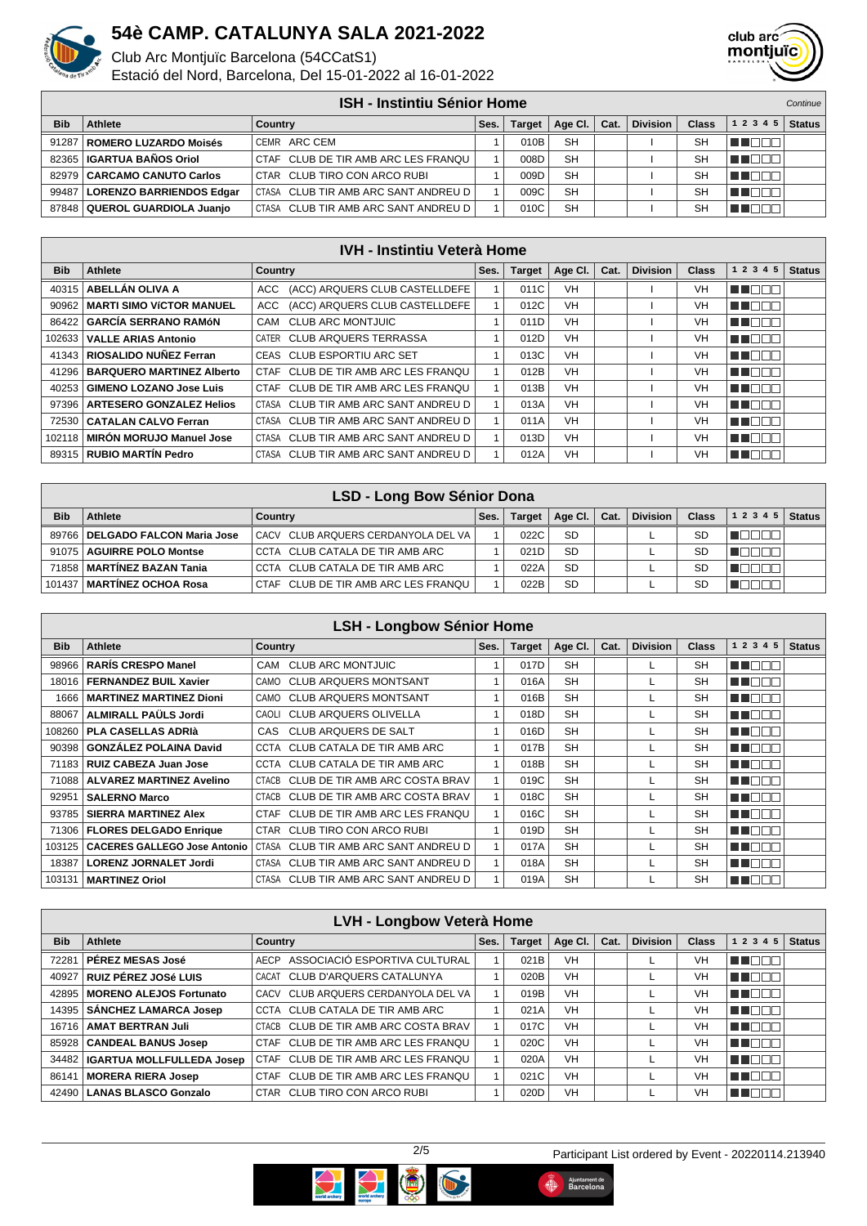

Club Arc Montjuïc Barcelona (54CCatS1)

Estació del Nord, Barcelona, Del 15-01-2022 al 16-01-2022



|            | <b>ISH - Instintiu Sénior Home</b> |                                      |      |               |           |      |                 |       |           | Continue      |
|------------|------------------------------------|--------------------------------------|------|---------------|-----------|------|-----------------|-------|-----------|---------------|
| <b>Bib</b> | <b>Athlete</b>                     | Country                              | Ses. | <b>Target</b> | Age CI.   | Cat. | <b>Division</b> | Class | 1 2 3 4 5 | <b>Status</b> |
|            | 91287   ROMERO LUZARDO Moisés      | CEMR ARC CEM                         |      | 010B          | <b>SH</b> |      |                 | SH    |           |               |
|            | 82365   IGARTUA BAÑOS Oriol        | CTAF CLUB DE TIR AMB ARC LES FRANQU  |      | 008D          | <b>SH</b> |      |                 | SH    |           |               |
|            | 82979   CARCAMO CANUTO Carlos      | CTAR CLUB TIRO CON ARCO RUBI         |      | 009D          | <b>SH</b> |      |                 | SH    |           |               |
| 99487      | LORENZO BARRIENDOS Edgar           | CTASA CLUB TIR AMB ARC SANT ANDREU D |      | 009C          | <b>SH</b> |      |                 | SH    |           |               |
|            | 87848   QUEROL GUARDIOLA Juanjo    | CTASA CLUB TIR AMB ARC SANT ANDREU D |      | 010C          | <b>SH</b> |      |                 | SH    |           |               |

| <b>IVH - Instintiu Veterà Home</b> |                                   |                                       |      |               |           |      |                 |              |              |               |  |  |
|------------------------------------|-----------------------------------|---------------------------------------|------|---------------|-----------|------|-----------------|--------------|--------------|---------------|--|--|
| <b>Bib</b>                         | Athlete                           | <b>Country</b>                        | Ses. | <b>Target</b> | Age Cl.   | Cat. | <b>Division</b> | <b>Class</b> | 1 2 3 4<br>5 | <b>Status</b> |  |  |
|                                    | 40315   ABELLÁN OLIVA A           | ACC (ACC) ARQUERS CLUB CASTELLDEFE    |      | 011C          | <b>VH</b> |      |                 | VH           | 11           |               |  |  |
|                                    | 90962   MARTI SIMO VÍCTOR MANUEL  | (ACC) ARQUERS CLUB CASTELLDEFE<br>ACC |      | 012C          | <b>VH</b> |      |                 | VH           | TERE         |               |  |  |
| 86422                              | <b>GARCÍA SERRANO RAMÓN</b>       | CAM CLUB ARC MONTJUIC                 |      | 011D          | <b>VH</b> |      |                 | VH           | TENN         |               |  |  |
| 102633 l                           | <b>VALLE ARIAS Antonio</b>        | CATER CLUB ARQUERS TERRASSA           |      | 012D          | <b>VH</b> |      |                 | VH           | u den        |               |  |  |
|                                    | 41343 RIOSALIDO NUÑEZ Ferran      | CEAS CLUB ESPORTIU ARC SET            |      | 013C          | <b>VH</b> |      |                 | VH           | 11           |               |  |  |
|                                    | 41296   BARQUERO MARTINEZ Alberto | CTAF CLUB DE TIR AMB ARC LES FRANQU   |      | 012B          | <b>VH</b> |      |                 | VH           | TENT         |               |  |  |
| 40253                              | <b>GIMENO LOZANO Jose Luis</b>    | CTAF CLUB DE TIR AMB ARC LES FRANQU   |      | 013B          | <b>VH</b> |      |                 | VH           | T FIFIT      |               |  |  |
|                                    | 97396   ARTESERO GONZALEZ Helios  | CTASA CLUB TIR AMB ARC SANT ANDREU D  |      | 013A          | <b>VH</b> |      |                 | VH           | u na ma      |               |  |  |
| 72530                              | <b>CATALAN CALVO Ferran</b>       | CTASA CLUB TIR AMB ARC SANT ANDREU D  |      | 011A          | <b>VH</b> |      |                 | VH           | 11           |               |  |  |
|                                    | 102118   MIRÓN MORUJO Manuel Jose | CTASA CLUB TIR AMB ARC SANT ANDREU D  |      | 013D          | <b>VH</b> |      |                 | <b>VH</b>    | TERR         |               |  |  |
|                                    | 89315   RUBIO MARTIN Pedro        | CTASA CLUB TIR AMB ARC SANT ANDREU D  |      | 012A          | <b>VH</b> |      |                 | VH           | THEEN        |               |  |  |

|            | LSD - Long Bow Sénior Dona        |                                     |      |               |           |      |                 |              |           |               |  |
|------------|-----------------------------------|-------------------------------------|------|---------------|-----------|------|-----------------|--------------|-----------|---------------|--|
| <b>Bib</b> | Athlete                           | Country                             | Ses. | <b>Target</b> | Age Cl.   | Cat. | <b>Division</b> | <b>Class</b> | 1 2 3 4 5 | <b>Status</b> |  |
|            | 89766   DELGADO FALCON Maria Jose | CACV CLUB ARQUERS CERDANYOLA DEL VA |      | 022C          | <b>SD</b> |      |                 | <b>SD</b>    |           |               |  |
|            | 91075   AGUIRRE POLO Montse       | CCTA CLUB CATALA DE TIR AMB ARC     |      | 021D          | <b>SD</b> |      |                 | <b>SD</b>    |           |               |  |
|            | 71858   MARTINEZ BAZAN Tania      | CCTA CLUB CATALA DE TIR AMB ARC     |      | 022A          | <b>SD</b> |      |                 | <b>SD</b>    |           |               |  |
| 101437     | <b>I MARTINEZ OCHOA Rosa</b>      | CTAF CLUB DE TIR AMB ARC LES FRANQU |      | 022B          | <b>SD</b> |      |                 | <b>SD</b>    |           |               |  |

|            | <b>LSH - Longbow Sénior Home</b>    |                                                |      |               |           |      |                 |              |               |               |  |
|------------|-------------------------------------|------------------------------------------------|------|---------------|-----------|------|-----------------|--------------|---------------|---------------|--|
| <b>Bib</b> | <b>Athlete</b>                      | Country                                        | Ses. | <b>Target</b> | Age CI.   | Cat. | <b>Division</b> | <b>Class</b> | 1 2 3 4 5     | <b>Status</b> |  |
| 98966      | <b>RARÍS CRESPO Manel</b>           | <b>CLUB ARC MONTJUIC</b><br>CAM                |      | 017D          | <b>SH</b> |      |                 | <b>SH</b>    | T E E         |               |  |
| 18016      | <b>FERNANDEZ BUIL Xavier</b>        | <b>CLUB ARQUERS MONTSANT</b><br>CAMO           |      | 016A          | <b>SH</b> |      |                 | <b>SH</b>    | u u man       |               |  |
| 1666       | <b>MARTINEZ MARTINEZ Dioni</b>      | CAMO CLUB ARQUERS MONTSANT                     |      | 016B          | <b>SH</b> |      |                 | <b>SH</b>    | <b>UNDER</b>  |               |  |
| 88067      | <b>ALMIRALL PAÜLS Jordi</b>         | CAOLI CLUB ARQUERS OLIVELLA                    |      | 018D          | <b>SH</b> |      |                 | <b>SH</b>    | ma mar        |               |  |
| 108260     | <b>PLA CASELLAS ADRIA</b>           | <b>CLUB ARQUERS DE SALT</b><br>CAS             |      | 016D          | <b>SH</b> |      |                 | <b>SH</b>    | u na m        |               |  |
| 90398      | <b>GONZÁLEZ POLAINA David</b>       | CCTA CLUB CATALA DE TIR AMB ARC                |      | 017B          | <b>SH</b> |      |                 | <b>SH</b>    | - 1 - 1 - 1 - |               |  |
| 71183      | RUIZ CABEZA Juan Jose               | CCTA CLUB CATALA DE TIR AMB ARC                |      | 018B          | <b>SH</b> |      |                 | <b>SH</b>    | a mat         |               |  |
|            | 71088   ALVAREZ MARTINEZ Avelino    | CTACB CLUB DE TIR AMB ARC COSTA BRAV           |      | 019C          | <b>SH</b> |      |                 | <b>SH</b>    | n na m        |               |  |
| 92951      | <b>SALERNO Marco</b>                | CLUB DE TIR AMB ARC COSTA BRAV<br>CTACB        |      | 018C          | <b>SH</b> |      |                 | <b>SH</b>    | n di          |               |  |
| 93785      | <b>SIERRA MARTINEZ Alex</b>         | CTAF CLUB DE TIR AMB ARC LES FRANQU            |      | 016C          | <b>SH</b> |      |                 | <b>SH</b>    | HI F          |               |  |
| 71306      | <b>FLORES DELGADO Enrique</b>       | CTAR CLUB TIRO CON ARCO RUBI                   |      | 019D          | <b>SH</b> |      |                 | <b>SH</b>    | TI FII        |               |  |
| 103125     | <b>CACERES GALLEGO Jose Antonio</b> | CTASA CLUB TIR AMB ARC SANT ANDREU D           |      | 017A          | <b>SH</b> |      |                 | <b>SH</b>    | n din m       |               |  |
| 18387      | <b>LORENZ JORNALET Jordi</b>        | CLUB TIR AMB ARC SANT ANDREU D<br><b>CTASA</b> |      | 018A          | <b>SH</b> |      |                 | <b>SH</b>    | THE           |               |  |
| 103131     | MARTINEZ Oriol                      | CTASA CLUB TIR AMB ARC SANT ANDREU D           |      | 019A          | <b>SH</b> |      |                 | <b>SH</b>    | н.            |               |  |

|            | <b>LVH - Longbow Veterà Home</b>  |                                      |      |               |           |      |                 |              |         |               |
|------------|-----------------------------------|--------------------------------------|------|---------------|-----------|------|-----------------|--------------|---------|---------------|
| <b>Bib</b> | <b>Athlete</b>                    | Country                              | Ses. | <b>Target</b> | Age Cl.   | Cat. | <b>Division</b> | <b>Class</b> | 1 2 3 4 | <b>Status</b> |
| 72281      | <b>PÉREZ MESAS José</b>           | AECP ASSOCIACIÓ ESPORTIVA CULTURAL   |      | 021B          | VH        |      |                 | VH           |         |               |
| 40927      | ∣ RUIZ PÉREZ JOSé LUIS            | CACAT CLUB D'ARQUERS CATALUNYA       |      | 020B          | <b>VH</b> |      |                 | VH           | ANLILL  |               |
| 42895      | MORENO ALEJOS Fortunato           | CACV CLUB ARQUERS CERDANYOLA DEL VA  |      | 019B          | VH        |      |                 | VH           | a mata  |               |
|            | 14395   SANCHEZ LAMARCA Josep     | CCTA CLUB CATALA DE TIR AMB ARC      |      | 021A          | VH        |      |                 | <b>VH</b>    | חרו     |               |
|            | 16716   AMAT BERTRAN Juli         | CTACB CLUB DE TIR AMB ARC COSTA BRAV |      | 017C          | VH        |      |                 | VH           |         |               |
|            | 85928   CANDEAL BANUS Josep       | CTAF CLUB DE TIR AMB ARC LES FRANQU  |      | 020C          | <b>VH</b> |      |                 | <b>VH</b>    |         |               |
|            | 34482   IGARTUA MOLLFULLEDA Josep | CTAF CLUB DE TIR AMB ARC LES FRANQU  |      | 020A          | VH        |      |                 | <b>VH</b>    |         |               |
| 86141      | MORERA RIERA Josep                | CTAF CLUB DE TIR AMB ARC LES FRANQU  |      | 021C          | <b>VH</b> |      |                 | <b>VH</b>    |         |               |
|            | 42490   LANAS BLASCO Gonzalo      | CTAR CLUB TIRO CON ARCO RUBI         |      | 020D          | VH        |      |                 | VH           |         |               |



Ajuntament de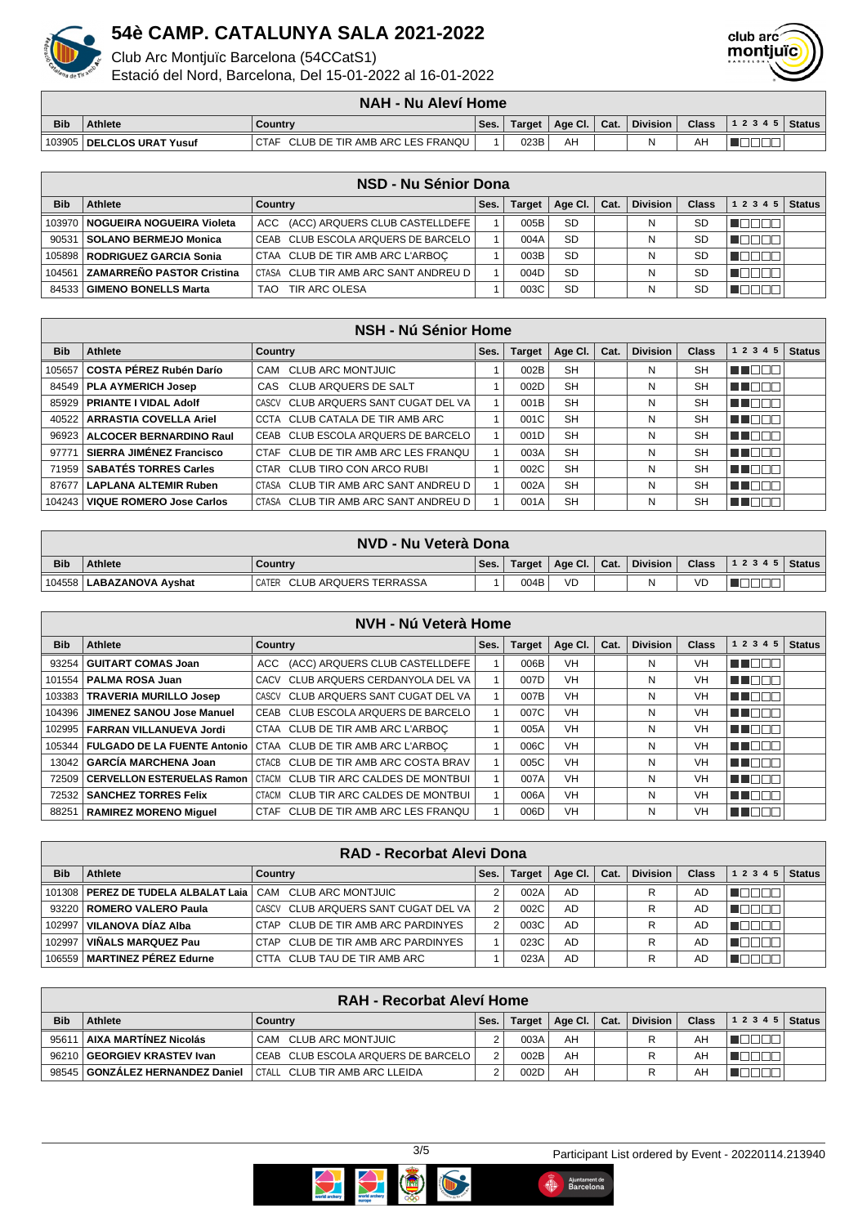

Club Arc Montjuïc Barcelona (54CCatS1)

Estació del Nord, Barcelona, Del 15-01-2022 al 16-01-2022



|            |                        | <b>NAH - Nu Aleví Home</b>                    |      |        |                 |      |                 |              |           |               |
|------------|------------------------|-----------------------------------------------|------|--------|-----------------|------|-----------------|--------------|-----------|---------------|
| <b>Bib</b> | <b>Athlete</b>         | Countrv                                       | Ses. | Target | Age Cl. $\vert$ | Cat. | <b>Division</b> | <b>Class</b> | 1 2 3 4 5 | <b>Status</b> |
| 103905     | ∂ I DELCLOS URAT Yusuf | CLUB DE TIR AMB ARC LES FRANQU<br><b>CTAF</b> |      | 023B   | AH              |      |                 | AΗ           |           |               |

|            | NSD - Nu Sénior Dona               |                                            |      |               |           |      |                 |              |           |               |
|------------|------------------------------------|--------------------------------------------|------|---------------|-----------|------|-----------------|--------------|-----------|---------------|
| <b>Bib</b> | Athlete                            | Country                                    | Ses. | <b>Target</b> | Age Cl.   | Cat. | <b>Division</b> | <b>Class</b> | 1 2 3 4 5 | <b>Status</b> |
|            | 103970   NOGUEIRA NOGUEIRA Violeta | ACC (ACC) ARQUERS CLUB CASTELLDEFE         |      | 005B          | <b>SD</b> |      | N               | <b>SD</b>    |           |               |
| 90531      | SOLANO BERMEJO Monica              | CEAB CLUB ESCOLA ARQUERS DE BARCELO        |      | 004A          | <b>SD</b> |      |                 | <b>SD</b>    |           |               |
|            | 105898   RODRIGUEZ GARCIA Sonia    | CTAA CLUB DE TIR AMB ARC L'ARBOC           |      | 003B          | <b>SD</b> |      |                 | <b>SD</b>    |           |               |
| 104561     | <b>ZAMARREÑO PASTOR Cristina</b>   | I CTASA - CLUB TIR AMB ARC SANT ANDREU D I |      | 004D          | <b>SD</b> |      |                 | <b>SD</b>    |           |               |
|            | 84533   GIMENO BONELLS Marta       | TIR ARC OLESA<br>TAO                       |      | 003C          | <b>SD</b> |      |                 | SD           |           |               |

|            | <b>NSH - Nú Sénior Home</b>       |                                      |      |        |           |      |                 |              |                 |               |
|------------|-----------------------------------|--------------------------------------|------|--------|-----------|------|-----------------|--------------|-----------------|---------------|
| <b>Bib</b> | Athlete                           | Country                              | Ses. | Target | Age CI.   | Cat. | <b>Division</b> | <b>Class</b> | 1 2 3 4 5       | <b>Status</b> |
| 105657     | COSTA PÉREZ Rubén Darío           | CAM CLUB ARC MONTJUIC                |      | 002B   | <b>SH</b> |      | N               | <b>SH</b>    |                 |               |
|            | 84549   PLA AYMERICH Josep        | CAS CLUB ARQUERS DE SALT             |      | 002D   | <b>SH</b> |      | N               | <b>SH</b>    |                 |               |
|            | 85929   PRIANTE I VIDAL Adolf     | CASCV CLUB ARQUERS SANT CUGAT DEL VA |      | 001B   | <b>SH</b> |      | N               | <b>SH</b>    |                 |               |
|            | 40522   ARRASTIA COVELLA Ariel    | CCTA CLUB CATALA DE TIR AMB ARC      |      | 001C   | <b>SH</b> |      | N               | <b>SH</b>    | N E E E         |               |
|            | 96923   ALCOCER BERNARDINO Raul   | CEAB CLUB ESCOLA ARQUERS DE BARCELO  |      | 001D   | <b>SH</b> |      | N               | <b>SH</b>    | THEED           |               |
| 97771      | SIERRA JIMÉNEZ Francisco          | CTAF CLUB DE TIR AMB ARC LES FRANQU  |      | 003A   | <b>SH</b> |      | N               | <b>SH</b>    |                 |               |
| 71959      | <b>SABATÉS TORRES Carles</b>      | CTAR CLUB TIRO CON ARCO RUBI         |      | 002C   | <b>SH</b> |      | N               | <b>SH</b>    | THE EN          |               |
| 87677      | <b>LAPLANA ALTEMIR Ruben</b>      | CTASA CLUB TIR AMB ARC SANT ANDREU D |      | 002A   | <b>SH</b> |      | N               | <b>SH</b>    | חחר<br>l III li |               |
|            | 104243   VIQUE ROMERO Jose Carlos | CTASA CLUB TIR AMB ARC SANT ANDREU D |      | 001A   | <b>SH</b> |      | N               | <b>SH</b>    |                 |               |

|            | NVD - Nu Veterà Dona       |                             |      |        |                                      |  |          |              |                          |  |
|------------|----------------------------|-----------------------------|------|--------|--------------------------------------|--|----------|--------------|--------------------------|--|
| <b>Bib</b> | <b>Athlete</b>             | <b>Country</b>              | Ses. | Target | $\parallel$ Age Cl. $\parallel$ Cat. |  | Division | <b>Class</b> | $\vert$ 1 2 3 4 5 Status |  |
|            | 104558   LABAZANOVA Ayshat | CATER CLUB ARQUERS TERRASSA |      | 004B   | <b>VD</b>                            |  | Ν        | VD           |                          |  |

|            |                                  | <b>NVH - Nú Veterà Home</b>                                     |      |               |           |      |                 |              |           |               |
|------------|----------------------------------|-----------------------------------------------------------------|------|---------------|-----------|------|-----------------|--------------|-----------|---------------|
| <b>Bib</b> | Athlete                          | <b>Country</b>                                                  | Ses. | <b>Target</b> | Age Cl.   | Cat. | <b>Division</b> | <b>Class</b> | 1 2 3 4 5 | <b>Status</b> |
| 93254      | <b>GUITART COMAS Joan</b>        | ACC (ACC) ARQUERS CLUB CASTELLDEFE                              |      | 006B          | <b>VH</b> |      | N               | <b>VH</b>    | N E E E   |               |
| 101554     | PALMA ROSA Juan                  | CACV CLUB ARQUERS CERDANYOLA DEL VA                             |      | 007D          | <b>VH</b> |      | N               | VH           | TEEL      |               |
|            | 103383   TRAVERIA MURILLO Josep  | CASCV CLUB ARQUERS SANT CUGAT DEL VA                            |      | 007B          | <b>VH</b> |      | N               | <b>VH</b>    | N 880 E   |               |
| 104396     | <b>JIMENEZ SANOU Jose Manuel</b> | CEAB CLUB ESCOLA ARQUERS DE BARCELO                             |      | 007C          | <b>VH</b> |      | N               | <b>VH</b>    | ▟▐▕▁▏▁▏   |               |
| 102995     | FARRAN VILLANUEVA Jordi          | CTAA CLUB DE TIR AMB ARC L'ARBOC                                |      | 005A          | <b>VH</b> |      | N               | <b>VH</b>    | THE EL    |               |
| 105344     |                                  | FULGADO DE LA FUENTE Antonio   CTAA CLUB DE TIR AMB ARC L'ARBOC |      | 006C          | <b>VH</b> |      | N               | VH           | T FOOT    |               |
| 13042      | GARCÍA MARCHENA Joan             | CTACB CLUB DE TIR AMB ARC COSTA BRAV                            |      | 005C          | <b>VH</b> |      | N               | <b>VH</b>    | TERE      |               |
| 72509      | ∣ CERVELLON ESTERUELAS Ramon ∣   | CTACM CLUB TIR ARC CALDES DE MONTBUI                            |      | 007A          | <b>VH</b> |      | N               | <b>VH</b>    | THE EL    |               |
| 72532      | <b>SANCHEZ TORRES Felix</b>      | CTACM CLUB TIR ARC CALDES DE MONTBUI                            |      | 006A          | <b>VH</b> |      | N               | <b>VH</b>    | THE EXI   |               |
| 88251      | RAMIREZ MORENO Miquel            | CTAF CLUB DE TIR AMB ARC LES FRANQU                             |      | 006D          | <b>VH</b> |      | Ν               | VH           | TO        |               |

|            | <b>RAD - Recorbat Alevi Dona</b>      |                                      |      |               |         |      |                 |              |           |               |  |
|------------|---------------------------------------|--------------------------------------|------|---------------|---------|------|-----------------|--------------|-----------|---------------|--|
| <b>Bib</b> | Athlete                               | Country                              | Ses. | <b>Target</b> | Age Cl. | Cat. | <b>Division</b> | <b>Class</b> | 1 2 3 4 5 | <b>Status</b> |  |
|            | 101308   PEREZ DE TUDELA ALBALAT Laia | CAM CLUB ARC MONTJUIC                |      | 002A          | AD      |      | R               | AD           |           |               |  |
|            | 93220   ROMERO VALERO Paula           | CASCV CLUB ARQUERS SANT CUGAT DEL VA |      | 002C          | AD      |      | R               | AD           |           |               |  |
| 102997     | VILANOVA DÍAZ Alba                    | CTAP CLUB DE TIR AMB ARC PARDINYES   |      | 003C          | AD      |      | R               | AD           |           |               |  |
| 102997     | VIÑALS MARQUEZ Pau                    | CTAP CLUB DE TIR AMB ARC PARDINYES   |      | 023C          | AD      |      |                 | AD           |           |               |  |
|            | 106559   MARTINEZ PÉREZ Edurne        | CTTA CLUB TAU DE TIR AMB ARC         |      | 023A          | AD      |      | R               | AD           |           |               |  |

| RAH - Recorbat Aleví Home |                                   |                                     |      |               |         |      |                 |              |           |        |
|---------------------------|-----------------------------------|-------------------------------------|------|---------------|---------|------|-----------------|--------------|-----------|--------|
| <b>Bib</b>                | <b>Athlete</b>                    | Country                             | Ses. | <b>Target</b> | Age Cl. | Cat. | <b>Division</b> | <b>Class</b> | 1 2 3 4 5 | Status |
| 9561                      | AIXA MARTÍNEZ Nicolás             | CAM CLUB ARC MONTJUIC               |      | 003A          | AH      |      |                 | AΗ           |           |        |
| 96210                     | GEORGIEV KRASTEV Ivan             | CEAB CLUB ESCOLA ARQUERS DE BARCELO | 2    | 002B          | AH      |      |                 | AΗ           |           |        |
|                           | 98545   GONZALEZ HERNANDEZ Daniel | CTALL CLUB TIR AMB ARC LLEIDA       |      | 002D          | AH      |      |                 | AH           |           |        |



Ajuntament de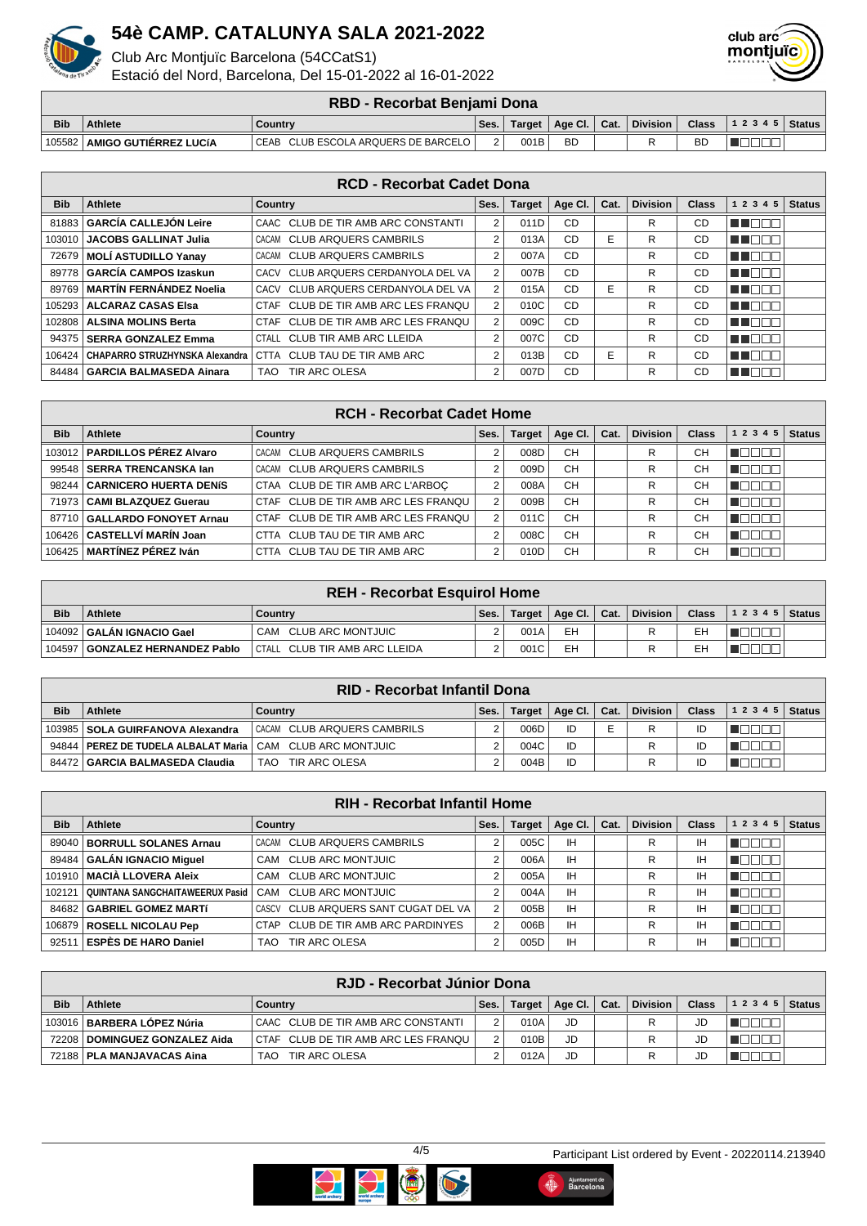

Club Arc Montjuïc Barcelona (54CCatS1)

Estació del Nord, Barcelona, Del 15-01-2022 al 16-01-2022



#### **RBD - Recorbat Benjami Dona**

|            |                       | .                                      |      |        |             |      |                 |              |       |        |
|------------|-----------------------|----------------------------------------|------|--------|-------------|------|-----------------|--------------|-------|--------|
| <b>Bib</b> | Athlete               | Country                                | Ses. | Target | ∣ Age Cl. ∣ | Cat. | <b>Division</b> | <b>Class</b> | 12345 | Status |
| 105582     | AMIGO GUTIERREZ LUCÍA | CLUB ESCOLA ARQUERS DE BARCELO<br>CEAB | -    | 001B   | <b>BD</b>   |      |                 | <b>BD</b>    |       |        |

|            | <b>RCD - Recorbat Cadet Dona</b> |                                        |                |               |           |      |                 |              |              |               |  |
|------------|----------------------------------|----------------------------------------|----------------|---------------|-----------|------|-----------------|--------------|--------------|---------------|--|
| <b>Bib</b> | Athlete                          | Country                                | Ses.           | <b>Target</b> | Age Cl.   | Cat. | <b>Division</b> | <b>Class</b> | 1 2 3 4 5    | <b>Status</b> |  |
| 81883      | <b>GARCÍA CALLEJÓN Leire</b>     | CAAC CLUB DE TIR AMB ARC CONSTANTI     | 2              | 011D          | CD        |      | R               | CD           | TEN<br>- 11  |               |  |
| 103010     | <b>JACOBS GALLINAT Julia</b>     | CLUB ARQUERS CAMBRILS<br>CACAM         | 2              | 013A          | CD        | Е    | R               | CD           | a m<br>⊣⊩    |               |  |
| 72679      | <b>MOLI ASTUDILLO Yanav</b>      | <b>CLUB ARQUERS CAMBRILS</b><br>CACAM  | 2              | 007A          | CD        |      | R               | CD           | N E E E      |               |  |
| 89778      | <b>GARCÍA CAMPOS Izaskun</b>     | CLUB ARQUERS CERDANYOLA DEL VA<br>CACV | $\overline{2}$ | 007B          | CD        |      | R               | CD           | N E E E      |               |  |
| 89769      | <b>MARTÍN FERNÁNDEZ Noelia</b>   | CLUB ARQUERS CERDANYOLA DEL VA<br>CACV | 2              | 015A          | CD        | Е    | R               | CD           | N NATIO      |               |  |
| 105293     | ALCARAZ CASAS Elsa               | CLUB DE TIR AMB ARC LES FRANOU<br>CTAF | 2              | 010C          | CD        |      | R               | CD           | TI NAT       |               |  |
| 102808     | <b>ALSINA MOLINS Berta</b>       | CLUB DE TIR AMB ARC LES FRANQU<br>CTAF | $\overline{2}$ | 009C          | CD        |      | R               | CD           | T E E E      |               |  |
| 94375      | <b>SERRA GONZALEZ Emma</b>       | CTALL CLUB TIR AMB ARC LLEIDA          | $\overline{2}$ | 007C          | CD        |      | R               | <b>CD</b>    | <b>TELEL</b> |               |  |
| 106424     | CHAPARRO STRUZHYNSKA Alexandra   | CTTA CLUB TAU DE TIR AMB ARC           | 2              | 013B          | CD        | Е    | R               | CD           | ╗<br>TELET   |               |  |
| 84484      | <b>GARCIA BALMASEDA Ainara</b>   | TIR ARC OLESA<br>TAO.                  | 2              | 007D          | <b>CD</b> |      | R               | CD           | N E E E      |               |  |

|            | <b>RCH - Recorbat Cadet Home</b> |                                     |      |               |           |      |                 |              |           |               |
|------------|----------------------------------|-------------------------------------|------|---------------|-----------|------|-----------------|--------------|-----------|---------------|
| <b>Bib</b> | Athlete                          | Country                             | Ses. | <b>Target</b> | Age Cl.   | Cat. | <b>Division</b> | <b>Class</b> | 1 2 3 4 5 | <b>Status</b> |
|            | 103012   PARDILLOS PÉREZ Alvaro  | CACAM CLUB ARQUERS CAMBRILS         |      | 008D          | <b>CH</b> |      | R               | CН           | HUU UU    |               |
|            | 99548 SERRA TRENCANSKA Jan       | CACAM CLUB ARQUERS CAMBRILS         |      | 009D          | CH        |      | R               | СH           |           |               |
|            | 98244   CARNICERO HUERTA DENÍS   | CTAA CLUB DE TIR AMB ARC L'ARBOC    |      | 008A          | <b>CH</b> |      | R               | CН           | TE E E E  |               |
|            | 71973   CAMI BLAZQUEZ Guerau     | CTAF CLUB DE TIR AMB ARC LES FRANQU |      | 009B          | <b>CH</b> |      | R               | CН           |           |               |
|            | 87710 GALLARDO FONOYET Arnau     | CTAF CLUB DE TIR AMB ARC LES FRANQU |      | 011C          | <b>CH</b> |      | R               | CН           |           |               |
|            | 106426   CASTELLVÍ MARÍN Joan    | CTTA CLUB TAU DE TIR AMB ARC        |      | 008C          | <b>CH</b> |      | R               | CН           |           |               |
|            | 106425   MARTÍNEZ PÉREZ Iván     | CTTA CLUB TAU DE TIR AMB ARC        |      | 010D          | <b>CH</b> |      | R               | CН           |           |               |

|            | <b>REH - Recorbat Esquirol Home</b> |                               |      |        |         |      |                 |              |       |        |
|------------|-------------------------------------|-------------------------------|------|--------|---------|------|-----------------|--------------|-------|--------|
| <b>Bib</b> | <b>Athlete</b>                      | Country                       | Ses. | Target | Age Cl. | Cat. | <b>Division</b> | <b>Class</b> | 12345 | Status |
|            | 104092   GALAN IGNACIO Gael         | CAM CLUB ARC MONTJUIC         |      | 001A   | EH      |      |                 | EН           |       |        |
| 104597     | GONZALEZ HERNANDEZ Pablo            | CTALL CLUB TIR AMB ARC LLEIDA |      | 001C   | EH      |      |                 | EН           |       |        |

| <b>RID - Recorbat Infantil Dona</b> |                                       |                             |      |        |                 |      |                 |              |           |        |
|-------------------------------------|---------------------------------------|-----------------------------|------|--------|-----------------|------|-----------------|--------------|-----------|--------|
| <b>Bib</b>                          | <b>Athlete</b>                        | Country                     | Ses. | Target | Age Cl. $\vert$ | Cat. | <b>Division</b> | <b>Class</b> | 1 2 3 4 5 | Status |
|                                     | 103985   SOLA GUIRFANOVA Alexandra    | CACAM CLUB ARQUERS CAMBRILS |      | 006D   | ID              | -    | R               | ID           |           |        |
|                                     | 94844   PEREZ DE TUDELA ALBALAT Maria | CAM CLUB ARC MONTJUIC       |      | 004C   | ID              |      |                 | ID           |           |        |
|                                     | 84472   GARCIA BALMASEDA Claudia      | TIR ARC OLESA<br>TAO        |      | 004B   | ID              |      | R               | ID           |           |        |

|            | <b>RIH - Recorbat Infantil Home</b>                                                               |                                      |   |      |           |  |   |    |              |               |  |
|------------|---------------------------------------------------------------------------------------------------|--------------------------------------|---|------|-----------|--|---|----|--------------|---------------|--|
| <b>Bib</b> | <b>Division</b><br>Athlete<br>Age Cl.<br><b>Class</b><br><b>Target</b><br>Cat.<br>Ses.<br>Country |                                      |   |      |           |  |   |    | 1 2 3 4 5    | <b>Status</b> |  |
|            | 89040   BORRULL SOLANES Arnau                                                                     | CACAM CLUB ARQUERS CAMBRILS          |   | 005C | IH        |  | R | ΙH |              |               |  |
|            | 89484   GALÁN IGNACIO Miguel                                                                      | CAM CLUB ARC MONTJUIC                |   | 006A | <b>IH</b> |  | R | IΗ |              |               |  |
|            | 101910 MACIA LLOVERA Aleix                                                                        | CAM CLUB ARC MONTJUIC                |   | 005A | <b>IH</b> |  | R | IΗ | noon         |               |  |
| 102121     | QUINTANA SANGCHAITAWEERUX Pasid                                                                   | CAM CLUB ARC MONTJUIC                |   | 004A | <b>IH</b> |  | R | IΗ | <b>NODDD</b> |               |  |
|            | 84682 GABRIEL GOMEZ MARTÍ                                                                         | CASCV CLUB ARQUERS SANT CUGAT DEL VA | C | 005B | ΙH        |  | R | IΗ |              |               |  |
|            | 106879   ROSELL NICOLAU Pep                                                                       | CTAP CLUB DE TIR AMB ARC PARDINYES   |   | 006B | <b>IH</b> |  | R | IΗ |              |               |  |
|            | 92511 ESPÈS DE HARO Daniel                                                                        | TIR ARC OLESA<br>TAO                 |   | 005D | IΗ        |  | R | IΗ |              |               |  |

|            | RJD - Recorbat Júnior Dona      |                                       |      |        |                      |  |                 |              |           |               |  |
|------------|---------------------------------|---------------------------------------|------|--------|----------------------|--|-----------------|--------------|-----------|---------------|--|
| <b>Bib</b> | Athlete                         | Country                               | Ses. | Target | Age Cl. $\vert$ Cat. |  | <b>Division</b> | <b>Class</b> | 1 2 3 4 5 | <b>Status</b> |  |
|            | 103016   BARBERA LÓPEZ Núria    | CAAC CLUB DE TIR AMB ARC CONSTANTI    |      | 010A   | JD                   |  |                 | JD           |           |               |  |
|            | 72208   DOMINGUEZ GONZALEZ Aida | I CTAF CLUB DE TIR AMB ARC LES FRANQU |      | 010B   | JD                   |  |                 | JD           |           |               |  |
|            | 72188   PLA MANJAVACAS Aina     | TIR ARC OLESA<br>TAO .                |      | 012A   | JD                   |  |                 | JD           |           |               |  |